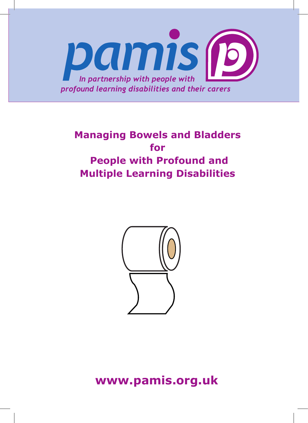

# **Managing Bowels and Bladders for People with Profound and Multiple Learning Disabilities**



**www.pamis.org.uk**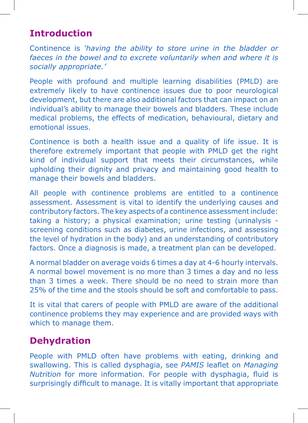# **Introduction**

Continence is *'having the ability to store urine in the bladder or faeces in the bowel and to excrete voluntarily when and where it is socially appropriate.'* 

People with profound and multiple learning disabilities (PMLD) are extremely likely to have continence issues due to poor neurological development, but there are also additional factors that can impact on an individual's ability to manage their bowels and bladders. These include medical problems, the effects of medication, behavioural, dietary and emotional issues.

Continence is both a health issue and a quality of life issue. It is therefore extremely important that people with PMLD get the right kind of individual support that meets their circumstances, while upholding their dignity and privacy and maintaining good health to manage their bowels and bladders.

All people with continence problems are entitled to a continence assessment. Assessment is vital to identify the underlying causes and contributory factors. The key aspects of a continence assessment include: taking a history; a physical examination; urine testing (urinalysis screening conditions such as diabetes, urine infections, and assessing the level of hydration in the body) and an understanding of contributory factors. Once a diagnosis is made, a treatment plan can be developed.

A normal bladder on average voids 6 times a day at 4-6 hourly intervals. A normal bowel movement is no more than 3 times a day and no less than 3 times a week. There should be no need to strain more than 25% of the time and the stools should be soft and comfortable to pass.

It is vital that carers of people with PMLD are aware of the additional continence problems they may experience and are provided ways with which to manage them.

# **Dehydration**

People with PMLD often have problems with eating, drinking and swallowing. This is called dysphagia, see *PAMIS* leaflet on *Managing Nutrition* for more information. For people with dysphagia, fluid is surprisingly difficult to manage. It is vitally important that appropriate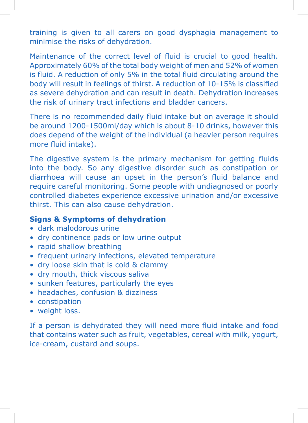training is given to all carers on good dysphagia management to minimise the risks of dehydration.

Maintenance of the correct level of fluid is crucial to good health. Approximately 60% of the total body weight of men and 52% of women is fluid. A reduction of only 5% in the total fluid circulating around the body will result in feelings of thirst. A reduction of 10-15% is classified as severe dehydration and can result in death. Dehydration increases the risk of urinary tract infections and bladder cancers.

There is no recommended daily fluid intake but on average it should be around 1200-1500ml/day which is about 8-10 drinks, however this does depend of the weight of the individual (a heavier person requires more fluid intake).

The digestive system is the primary mechanism for getting fluids into the body. So any digestive disorder such as constipation or diarrhoea will cause an upset in the person's fluid balance and require careful monitoring. Some people with undiagnosed or poorly controlled diabetes experience excessive urination and/or excessive thirst. This can also cause dehydration.

### **Signs & Symptoms of dehydration**

- dark malodorous urine
- dry continence pads or low urine output
- rapid shallow breathing
- frequent urinary infections, elevated temperature
- dry loose skin that is cold & clammy
- dry mouth, thick viscous saliva
- sunken features, particularly the eyes
- headaches, confusion & dizziness
- constipation
- weight loss.

If a person is dehydrated they will need more fluid intake and food that contains water such as fruit, vegetables, cereal with milk, yogurt, ice-cream, custard and soups.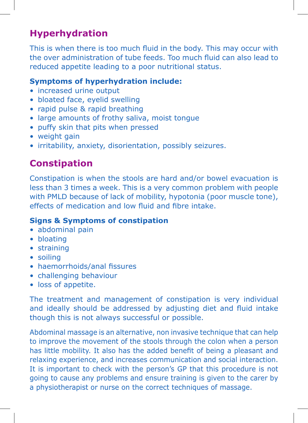# **Hyperhydration**

This is when there is too much fluid in the body. This may occur with the over administration of tube feeds. Too much fluid can also lead to reduced appetite leading to a poor nutritional status.

### **Symptoms of hyperhydration include:**

- increased urine output
- bloated face, eyelid swelling
- rapid pulse & rapid breathing
- large amounts of frothy saliva, moist tongue
- puffy skin that pits when pressed
- weight gain
- irritability, anxiety, disorientation, possibly seizures.

# **Constipation**

Constipation is when the stools are hard and/or bowel evacuation is less than 3 times a week. This is a very common problem with people with PMLD because of lack of mobility, hypotonia (poor muscle tone), effects of medication and low fluid and fibre intake.

### **Signs & Symptoms of constipation**

- abdominal pain
- bloating
- straining
- soiling
- haemorrhoids/anal fissures
- challenging behaviour
- loss of appetite.

The treatment and management of constipation is very individual and ideally should be addressed by adjusting diet and fluid intake though this is not always successful or possible.

Abdominal massage is an alternative, non invasive technique that can help to improve the movement of the stools through the colon when a person has little mobility. It also has the added benefit of being a pleasant and relaxing experience, and increases communication and social interaction. It is important to check with the person's GP that this procedure is not going to cause any problems and ensure training is given to the carer by a physiotherapist or nurse on the correct techniques of massage.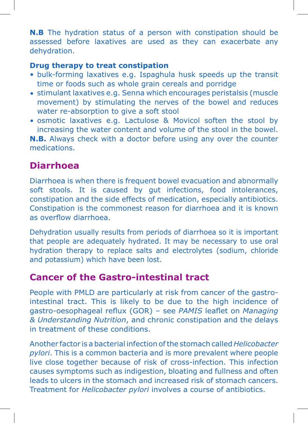**N.B** The hydration status of a person with constipation should be assessed before laxatives are used as they can exacerbate any dehydration.

### **Drug therapy to treat constipation**

- bulk-forming laxatives e.g. Ispaghula husk speeds up the transit time or foods such as whole grain cereals and porridge
- stimulant laxatives e.g. Senna which encourages peristalsis (muscle movement) by stimulating the nerves of the bowel and reduces water re-absorption to give a soft stool
- osmotic laxatives e.g. Lactulose & Movicol soften the stool by increasing the water content and volume of the stool in the bowel.

**N.B.** Always check with a doctor before using any over the counter medications.

# **Diarrhoea**

Diarrhoea is when there is frequent bowel evacuation and abnormally soft stools. It is caused by gut infections, food intolerances, constipation and the side effects of medication, especially antibiotics. Constipation is the commonest reason for diarrhoea and it is known as overflow diarrhoea.

Dehydration usually results from periods of diarrhoea so it is important that people are adequately hydrated. It may be necessary to use oral hydration therapy to replace salts and electrolytes (sodium, chloride and potassium) which have been lost.

# **Cancer of the Gastro-intestinal tract**

People with PMLD are particularly at risk from cancer of the gastrointestinal tract. This is likely to be due to the high incidence of gastro-oesophageal reflux (GOR) – see *PAMIS* leaflet on *Managing & Understanding Nutrition*, and chronic constipation and the delays in treatment of these conditions.

Another factor is a bacterial infection of the stomach called *Helicobacter pylori*. This is a common bacteria and is more prevalent where people live close together because of risk of cross-infection. This infection causes symptoms such as indigestion, bloating and fullness and often leads to ulcers in the stomach and increased risk of stomach cancers. Treatment for *Helicobacter pylori* involves a course of antibiotics.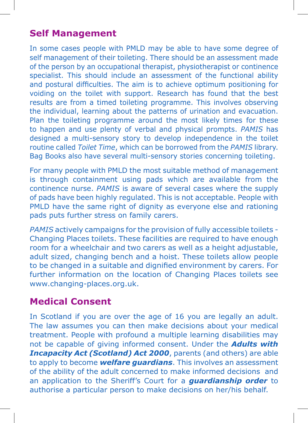# **Self Management**

In some cases people with PMLD may be able to have some degree of self management of their toileting. There should be an assessment made of the person by an occupational therapist, physiotherapist or continence specialist. This should include an assessment of the functional ability and postural difficulties. The aim is to achieve optimum positioning for voiding on the toilet with support. Research has found that the best results are from a timed toileting programme. This involves observing the individual, learning about the patterns of urination and evacuation. Plan the toileting programme around the most likely times for these to happen and use plenty of verbal and physical prompts. *PAMIS* has designed a multi-sensory story to develop independence in the toilet routine called *Toilet Time*, which can be borrowed from the *PAMIS* library. Bag Books also have several multi-sensory stories concerning toileting.

For many people with PMLD the most suitable method of management is through containment using pads which are available from the continence nurse. *PAMIS* is aware of several cases where the supply of pads have been highly regulated. This is not acceptable. People with PMLD have the same right of dignity as everyone else and rationing pads puts further stress on family carers.

*PAMIS* actively campaigns for the provision of fully accessible toilets - Changing Places toilets. These facilities are required to have enough room for a wheelchair and two carers as well as a height adjustable, adult sized, changing bench and a hoist. These toilets allow people to be changed in a suitable and dignified environment by carers. For further information on the location of Changing Places toilets see www.changing-places.org.uk.

# **Medical Consent**

In Scotland if you are over the age of 16 you are legally an adult. The law assumes you can then make decisions about your medical treatment. People with profound a multiple learning disabilities may not be capable of giving informed consent. Under the *Adults with Incapacity Act (Scotland) Act 2000*, parents (and others) are able to apply to become *welfare guardians*. This involves an assessment of the ability of the adult concerned to make informed decisions and an application to the Sheriff's Court for a *guardianship order* to authorise a particular person to make decisions on her/his behalf.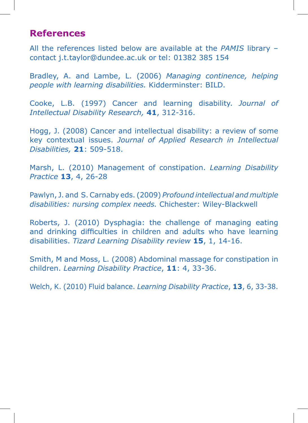### **References**

All the references listed below are available at the *PAMIS* library – contact j.t.taylor@dundee.ac.uk or tel: 01382 385 154

Bradley, A. and Lambe, L. (2006) *Managing continence, helping people with learning disabilities.* Kidderminster: BILD.

Cooke, L.B. (1997) Cancer and learning disability. *Journal of Intellectual Disability Research,* **41**, 312-316.

Hogg, J. (2008) Cancer and intellectual disability: a review of some key contextual issues. *Journal of Applied Research in Intellectual Disabilities,* **21**: 509-518.

Marsh, L. (2010) Management of constipation. *Learning Disability Practice* **13**, 4, 26-28

Pawlyn, J. and S. Carnaby eds. (2009) *Profound intellectual and multiple disabilities: nursing complex needs.* Chichester: Wiley-Blackwell

Roberts, J. (2010) Dysphagia: the challenge of managing eating and drinking difficulties in children and adults who have learning disabilities. *Tizard Learning Disability review* **15**, 1, 14-16.

Smith, M and Moss, L. (2008) Abdominal massage for constipation in children. *Learning Disability Practice*, **11**: 4, 33-36.

Welch, K. (2010) Fluid balance. *Learning Disability Practice*, **13**, 6, 33-38.